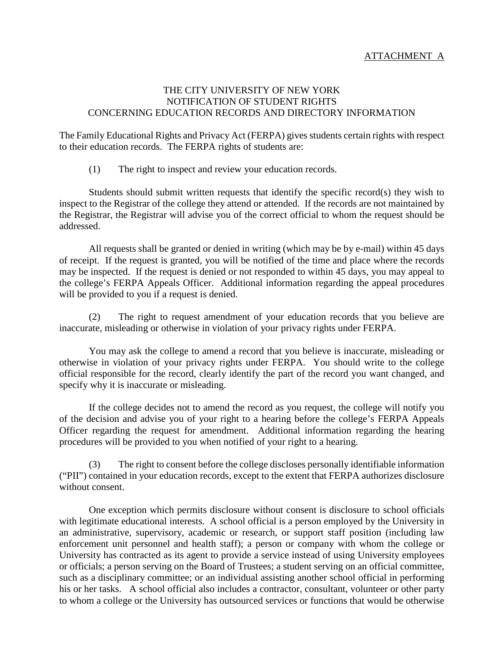## ATTACHMENT A

## THE CITY UNIVERSITY OF NEW YORK NOTIFICATION OF STUDENT RIGHTS CONCERNING EDUCATION RECORDS AND DIRECTORY INFORMATION

The Family Educational Rights and Privacy Act (FERPA) gives students certain rights with respect to their education records. The FERPA rights of students are:

(1) The right to inspect and review your education records.

Students should submit written requests that identify the specific record(s) they wish to inspect to the Registrar of the college they attend or attended. If the records are not maintained by the Registrar, the Registrar will advise you of the correct official to whom the request should be addressed.

All requests shall be granted or denied in writing (which may be by e-mail) within 45 days of receipt. If the request is granted, you will be notified of the time and place where the records may be inspected. If the request is denied or not responded to within 45 days, you may appeal to the college's FERPA Appeals Officer. Additional information regarding the appeal procedures will be provided to you if a request is denied.

(2) The right to request amendment of your education records that you believe are inaccurate, misleading or otherwise in violation of your privacy rights under FERPA.

You may ask the college to amend a record that you believe is inaccurate, misleading or otherwise in violation of your privacy rights under FERPA. You should write to the college official responsible for the record, clearly identify the part of the record you want changed, and specify why it is inaccurate or misleading.

If the college decides not to amend the record as you request, the college will notify you of the decision and advise you of your right to a hearing before the college's FERPA Appeals Officer regarding the request for amendment. Additional information regarding the hearing procedures will be provided to you when notified of your right to a hearing.

(3) The right to consent before the college discloses personally identifiable information ("PII") contained in your education records, except to the extent that FERPA authorizes disclosure without consent.

One exception which permits disclosure without consent is disclosure to school officials with legitimate educational interests. A school official is a person employed by the University in an administrative, supervisory, academic or research, or support staff position (including law enforcement unit personnel and health staff); a person or company with whom the college or University has contracted as its agent to provide a service instead of using University employees or officials; a person serving on the Board of Trustees; a student serving on an official committee, such as a disciplinary committee; or an individual assisting another school official in performing his or her tasks. A school official also includes a contractor, consultant, volunteer or other party to whom a college or the University has outsourced services or functions that would be otherwise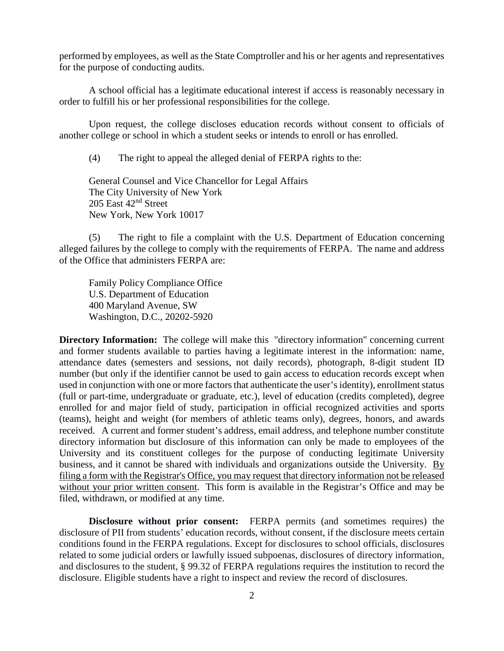performed by employees, as well as the State Comptroller and his or her agents and representatives for the purpose of conducting audits.

A school official has a legitimate educational interest if access is reasonably necessary in order to fulfill his or her professional responsibilities for the college.

Upon request, the college discloses education records without consent to officials of another college or school in which a student seeks or intends to enroll or has enrolled.

(4) The right to appeal the alleged denial of FERPA rights to the:

General Counsel and Vice Chancellor for Legal Affairs The City University of New York 205 East 42nd Street New York, New York 10017

(5) The right to file a complaint with the U.S. Department of Education concerning alleged failures by the college to comply with the requirements of FERPA. The name and address of the Office that administers FERPA are:

Family Policy Compliance Office U.S. Department of Education 400 Maryland Avenue, SW Washington, D.C., 20202-5920

**Directory Information:** The college will make this "directory information" concerning current and former students available to parties having a legitimate interest in the information: name, attendance dates (semesters and sessions, not daily records), photograph, 8-digit student ID number (but only if the identifier cannot be used to gain access to education records except when used in conjunction with one or more factors that authenticate the user's identity), enrollment status (full or part-time, undergraduate or graduate, etc.), level of education (credits completed), degree enrolled for and major field of study, participation in official recognized activities and sports (teams), height and weight (for members of athletic teams only), degrees, honors, and awards received. A current and former student's address, email address, and telephone number constitute directory information but disclosure of this information can only be made to employees of the University and its constituent colleges for the purpose of conducting legitimate University business, and it cannot be shared with individuals and organizations outside the University. By filing a form with the Registrar's Office, you may request that directory information not be released without your prior written consent. This form is available in the Registrar's Office and may be filed, withdrawn, or modified at any time.

**Disclosure without prior consent:** FERPA permits (and sometimes requires) the disclosure of PII from students' education records, without consent, if the disclosure meets certain conditions found in the FERPA regulations. Except for disclosures to school officials, disclosures related to some judicial orders or lawfully issued subpoenas, disclosures of directory information, and disclosures to the student, § 99.32 of FERPA regulations requires the institution to record the disclosure. Eligible students have a right to inspect and review the record of disclosures.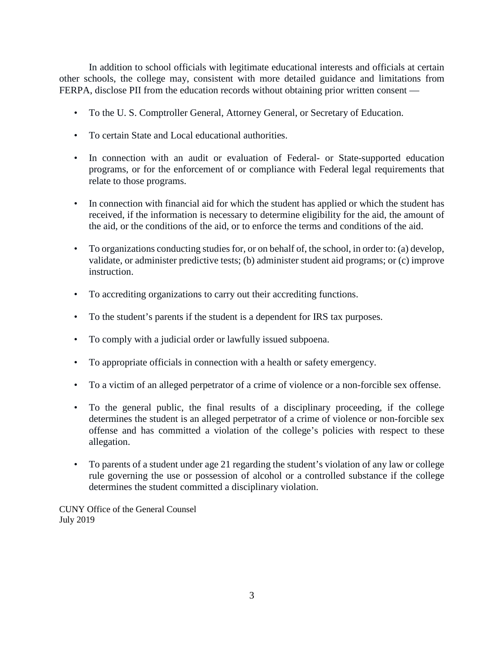In addition to school officials with legitimate educational interests and officials at certain other schools, the college may, consistent with more detailed guidance and limitations from FERPA, disclose PII from the education records without obtaining prior written consent —

- To the U. S. Comptroller General, Attorney General, or Secretary of Education.
- To certain State and Local educational authorities.
- In connection with an audit or evaluation of Federal- or State-supported education programs, or for the enforcement of or compliance with Federal legal requirements that relate to those programs.
- In connection with financial aid for which the student has applied or which the student has received, if the information is necessary to determine eligibility for the aid, the amount of the aid, or the conditions of the aid, or to enforce the terms and conditions of the aid.
- To organizations conducting studies for, or on behalf of, the school, in order to: (a) develop, validate, or administer predictive tests; (b) administer student aid programs; or (c) improve instruction.
- To accrediting organizations to carry out their accrediting functions.
- To the student's parents if the student is a dependent for IRS tax purposes.
- To comply with a judicial order or lawfully issued subpoena.
- To appropriate officials in connection with a health or safety emergency.
- To a victim of an alleged perpetrator of a crime of violence or a non-forcible sex offense.
- To the general public, the final results of a disciplinary proceeding, if the college determines the student is an alleged perpetrator of a crime of violence or non-forcible sex offense and has committed a violation of the college's policies with respect to these allegation.
- To parents of a student under age 21 regarding the student's violation of any law or college rule governing the use or possession of alcohol or a controlled substance if the college determines the student committed a disciplinary violation.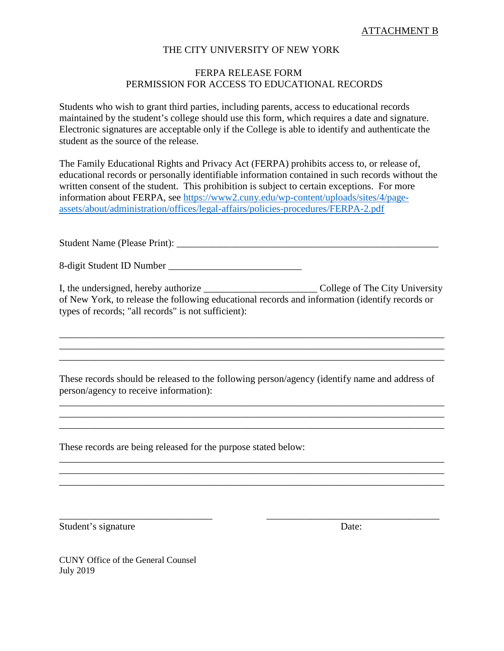#### THE CITY UNIVERSITY OF NEW YORK

# FERPA RELEASE FORM PERMISSION FOR ACCESS TO EDUCATIONAL RECORDS

Students who wish to grant third parties, including parents, access to educational records maintained by the student's college should use this form, which requires a date and signature. Electronic signatures are acceptable only if the College is able to identify and authenticate the student as the source of the release.

The Family Educational Rights and Privacy Act (FERPA) prohibits access to, or release of, educational records or personally identifiable information contained in such records without the written consent of the student. This prohibition is subject to certain exceptions. For more information about FERPA, see [https://www2.cuny.edu/wp-content/uploads/sites/4/page](https://www2.cuny.edu/wp-content/uploads/sites/4/page-assets/about/administration/offices/legal-affairs/policies-procedures/FERPA-2.pdf)[assets/about/administration/offices/legal-affairs/policies-procedures/FERPA-2.pdf](https://www2.cuny.edu/wp-content/uploads/sites/4/page-assets/about/administration/offices/legal-affairs/policies-procedures/FERPA-2.pdf)

Student Name (Please Print): \_\_\_\_\_\_\_\_\_\_\_\_\_\_\_\_\_\_\_\_\_\_\_\_\_\_\_\_\_\_\_\_\_\_\_\_\_\_\_\_\_\_\_\_\_\_\_\_\_\_\_\_\_

8-digit Student ID Number \_\_\_\_\_\_\_\_\_\_\_\_\_\_\_\_\_\_\_\_\_\_\_\_\_\_\_

I, the undersigned, hereby authorize \_\_\_\_\_\_\_\_\_\_\_\_\_\_\_\_\_\_\_\_\_\_\_ College of The City University of New York, to release the following educational records and information (identify records or types of records; "all records" is not sufficient):

\_\_\_\_\_\_\_\_\_\_\_\_\_\_\_\_\_\_\_\_\_\_\_\_\_\_\_\_\_\_\_\_\_\_\_\_\_\_\_\_\_\_\_\_\_\_\_\_\_\_\_\_\_\_\_\_\_\_\_\_\_\_\_\_\_\_\_\_\_\_\_\_\_\_\_\_\_\_ \_\_\_\_\_\_\_\_\_\_\_\_\_\_\_\_\_\_\_\_\_\_\_\_\_\_\_\_\_\_\_\_\_\_\_\_\_\_\_\_\_\_\_\_\_\_\_\_\_\_\_\_\_\_\_\_\_\_\_\_\_\_\_\_\_\_\_\_\_\_\_\_\_\_\_\_\_\_ \_\_\_\_\_\_\_\_\_\_\_\_\_\_\_\_\_\_\_\_\_\_\_\_\_\_\_\_\_\_\_\_\_\_\_\_\_\_\_\_\_\_\_\_\_\_\_\_\_\_\_\_\_\_\_\_\_\_\_\_\_\_\_\_\_\_\_\_\_\_\_\_\_\_\_\_\_\_

These records should be released to the following person/agency (identify name and address of person/agency to receive information):

\_\_\_\_\_\_\_\_\_\_\_\_\_\_\_\_\_\_\_\_\_\_\_\_\_\_\_\_\_\_\_\_\_\_\_\_\_\_\_\_\_\_\_\_\_\_\_\_\_\_\_\_\_\_\_\_\_\_\_\_\_\_\_\_\_\_\_\_\_\_\_\_\_\_\_\_\_\_ \_\_\_\_\_\_\_\_\_\_\_\_\_\_\_\_\_\_\_\_\_\_\_\_\_\_\_\_\_\_\_\_\_\_\_\_\_\_\_\_\_\_\_\_\_\_\_\_\_\_\_\_\_\_\_\_\_\_\_\_\_\_\_\_\_\_\_\_\_\_\_\_\_\_\_\_\_\_

\_\_\_\_\_\_\_\_\_\_\_\_\_\_\_\_\_\_\_\_\_\_\_\_\_\_\_\_\_\_\_\_\_\_\_\_\_\_\_\_\_\_\_\_\_\_\_\_\_\_\_\_\_\_\_\_\_\_\_\_\_\_\_\_\_\_\_\_\_\_\_\_\_\_\_\_\_\_ \_\_\_\_\_\_\_\_\_\_\_\_\_\_\_\_\_\_\_\_\_\_\_\_\_\_\_\_\_\_\_\_\_\_\_\_\_\_\_\_\_\_\_\_\_\_\_\_\_\_\_\_\_\_\_\_\_\_\_\_\_\_\_\_\_\_\_\_\_\_\_\_\_\_\_\_\_\_ \_\_\_\_\_\_\_\_\_\_\_\_\_\_\_\_\_\_\_\_\_\_\_\_\_\_\_\_\_\_\_\_\_\_\_\_\_\_\_\_\_\_\_\_\_\_\_\_\_\_\_\_\_\_\_\_\_\_\_\_\_\_\_\_\_\_\_\_\_\_\_\_\_\_\_\_\_\_

\_\_\_\_\_\_\_\_\_\_\_\_\_\_\_\_\_\_\_\_\_\_\_\_\_\_\_\_\_\_\_ \_\_\_\_\_\_\_\_\_\_\_\_\_\_\_\_\_\_\_\_\_\_\_\_\_\_\_\_\_\_\_\_\_\_\_

These records are being released for the purpose stated below:

Student's signature Date: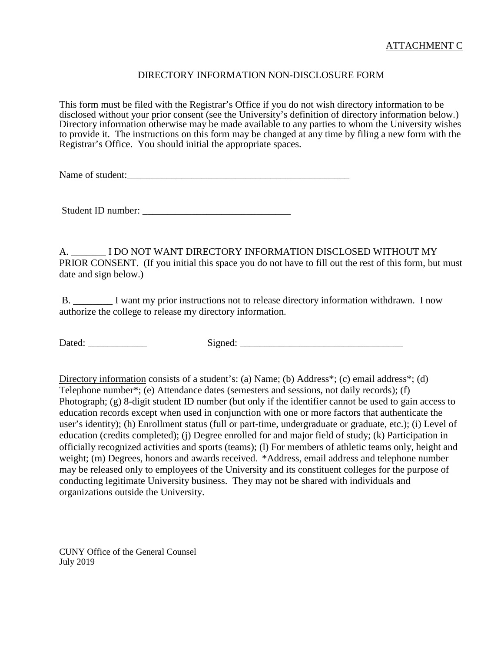# DIRECTORY INFORMATION NON-DISCLOSURE FORM

This form must be filed with the Registrar's Office if you do not wish directory information to be disclosed without your prior consent (see the University's definition of directory information below.) Directory information otherwise may be made available to any parties to whom the University wishes to provide it. The instructions on this form may be changed at any time by filing a new form with the Registrar's Office. You should initial the appropriate spaces.

Name of student:

Student ID number: \_\_\_\_\_\_\_\_\_\_\_\_\_\_\_\_\_\_\_\_\_\_\_\_\_\_\_\_\_\_

A. \_\_\_\_\_\_\_ I DO NOT WANT DIRECTORY INFORMATION DISCLOSED WITHOUT MY PRIOR CONSENT. (If you initial this space you do not have to fill out the rest of this form, but must date and sign below.)

B. I want my prior instructions not to release directory information withdrawn. I now authorize the college to release my directory information.

Dated: \_\_\_\_\_\_\_\_\_\_\_\_ Signed: \_\_\_\_\_\_\_\_\_\_\_\_\_\_\_\_\_\_\_\_\_\_\_\_\_\_\_\_\_\_\_\_\_

Directory information consists of a student's: (a) Name; (b) Address\*; (c) email address\*; (d) Telephone number\*; (e) Attendance dates (semesters and sessions, not daily records); (f) Photograph; (g) 8-digit student ID number (but only if the identifier cannot be used to gain access to education records except when used in conjunction with one or more factors that authenticate the user's identity); (h) Enrollment status (full or part-time, undergraduate or graduate, etc.); (i) Level of education (credits completed); (j) Degree enrolled for and major field of study; (k) Participation in officially recognized activities and sports (teams); (l) For members of athletic teams only, height and weight; (m) Degrees, honors and awards received. \*Address, email address and telephone number may be released only to employees of the University and its constituent colleges for the purpose of conducting legitimate University business. They may not be shared with individuals and organizations outside the University.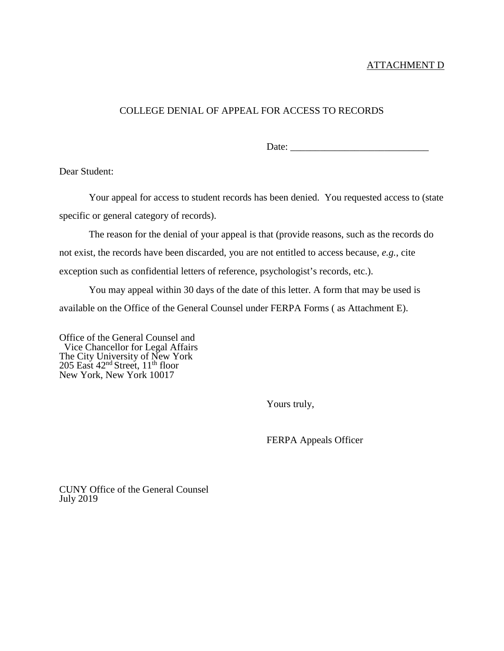#### ATTACHMENT D

# COLLEGE DENIAL OF APPEAL FOR ACCESS TO RECORDS

Date:

Dear Student:

Your appeal for access to student records has been denied. You requested access to (state specific or general category of records).

The reason for the denial of your appeal is that (provide reasons, such as the records do not exist, the records have been discarded, you are not entitled to access because, *e.g.*, cite exception such as confidential letters of reference, psychologist's records, etc.).

You may appeal within 30 days of the date of this letter. A form that may be used is available on the Office of the General Counsel under FERPA Forms ( as Attachment E).

Office of the General Counsel and Vice Chancellor for Legal Affairs The City University of New York 205 East  $42<sup>nd</sup>$  Street,  $11<sup>th</sup>$  floor New York, New York 10017

Yours truly,

FERPA Appeals Officer